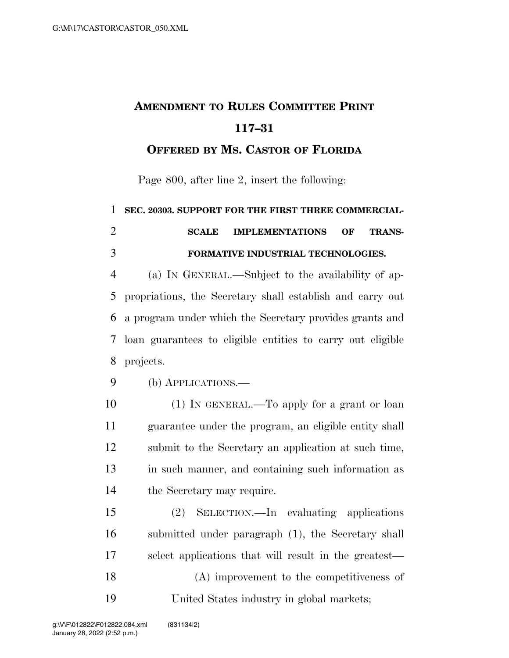## **AMENDMENT TO RULES COMMITTEE PRINT 117–31**

## **OFFERED BY MS. CASTOR OF FLORIDA**

Page 800, after line 2, insert the following:

 **SEC. 20303. SUPPORT FOR THE FIRST THREE COMMERCIAL- SCALE IMPLEMENTATIONS OF TRANS-FORMATIVE INDUSTRIAL TECHNOLOGIES.** 

 (a) IN GENERAL.—Subject to the availability of ap- propriations, the Secretary shall establish and carry out a program under which the Secretary provides grants and loan guarantees to eligible entities to carry out eligible projects.

(b) APPLICATIONS.—

10 (1) IN GENERAL.—To apply for a grant or loan guarantee under the program, an eligible entity shall submit to the Secretary an application at such time, in such manner, and containing such information as the Secretary may require.

 (2) SELECTION.—In evaluating applications submitted under paragraph (1), the Secretary shall select applications that will result in the greatest— (A) improvement to the competitiveness of United States industry in global markets;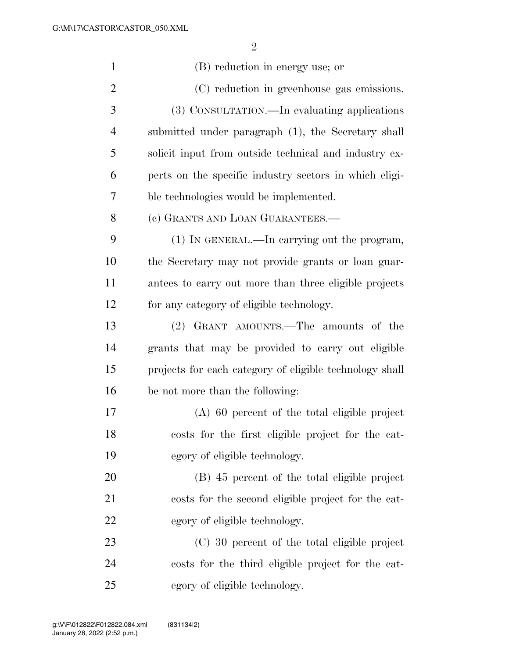| $\mathbf{1}$   | (B) reduction in energy use; or                         |
|----------------|---------------------------------------------------------|
| $\overline{2}$ | (C) reduction in greenhouse gas emissions.              |
| 3              | (3) CONSULTATION.—In evaluating applications            |
| $\overline{4}$ | submitted under paragraph (1), the Secretary shall      |
| 5              | solicit input from outside technical and industry ex-   |
| 6              | perts on the specific industry sectors in which eligi-  |
| 7              | ble technologies would be implemented.                  |
| 8              | (c) GRANTS AND LOAN GUARANTEES.-                        |
| 9              | (1) IN GENERAL.—In carrying out the program,            |
| 10             | the Secretary may not provide grants or loan guar-      |
| 11             | antees to carry out more than three eligible projects   |
| 12             | for any category of eligible technology.                |
| 13             | (2) GRANT AMOUNTS.—The amounts of the                   |
| 14             | grants that may be provided to carry out eligible       |
| 15             | projects for each category of eligible technology shall |
| 16             | be not more than the following:                         |
| 17             | $(A)$ 60 percent of the total eligible project          |
| 18             | costs for the first eligible project for the cat-       |
| 19             | egory of eligible technology.                           |
| 20             | (B) 45 percent of the total eligible project            |
| 21             | costs for the second eligible project for the cat-      |
| 22             | egory of eligible technology.                           |
| 23             | (C) 30 percent of the total eligible project            |
| 24             | costs for the third eligible project for the cat-       |
| 25             | egory of eligible technology.                           |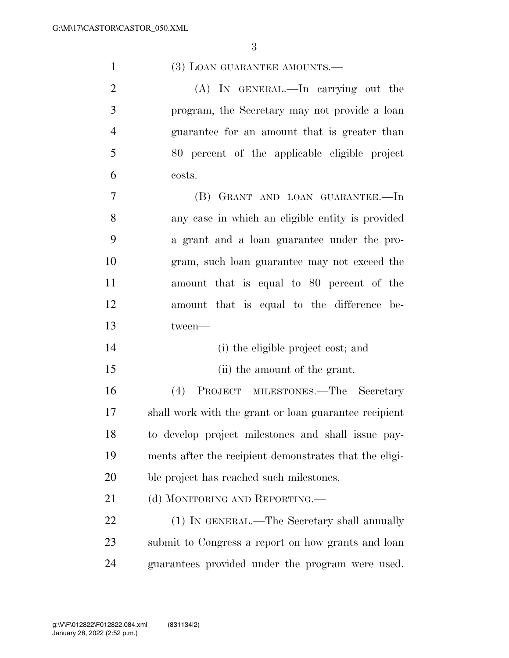(A) IN GENERAL.—In carrying out the program, the Secretary may not provide a loan guarantee for an amount that is greater than 80 percent of the applicable eligible project costs.

 (B) GRANT AND LOAN GUARANTEE.—In any case in which an eligible entity is provided a grant and a loan guarantee under the pro- gram, such loan guarantee may not exceed the amount that is equal to 80 percent of the amount that is equal to the difference be-tween—

- 14 (i) the eligible project cost; and
- (ii) the amount of the grant.

 (4) PROJECT MILESTONES.—The Secretary shall work with the grant or loan guarantee recipient to develop project milestones and shall issue pay- ments after the recipient demonstrates that the eligi-ble project has reached such milestones.

21 (d) MONITORING AND REPORTING.—

 (1) IN GENERAL.—The Secretary shall annually submit to Congress a report on how grants and loan guarantees provided under the program were used.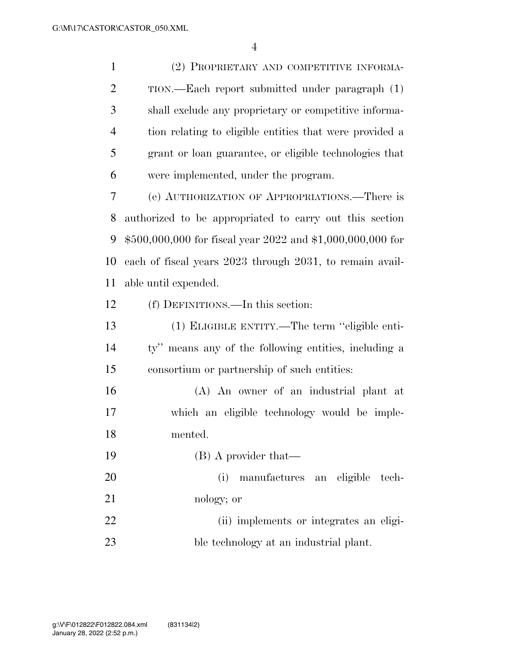(2) PROPRIETARY AND COMPETITIVE INFORMA- TION.—Each report submitted under paragraph (1) shall exclude any proprietary or competitive informa- tion relating to eligible entities that were provided a grant or loan guarantee, or eligible technologies that were implemented, under the program.

 (e) AUTHORIZATION OF APPROPRIATIONS.—There is authorized to be appropriated to carry out this section \$500,000,000 for fiscal year 2022 and \$1,000,000,000 for each of fiscal years 2023 through 2031, to remain avail-able until expended.

(f) DEFINITIONS.—In this section:

 (1) ELIGIBLE ENTITY.—The term ''eligible enti- ty'' means any of the following entities, including a consortium or partnership of such entities:

 (A) An owner of an industrial plant at which an eligible technology would be imple-mented.

19 (B) A provider that—

 (i) manufactures an eligible tech-nology; or

 (ii) implements or integrates an eligi-ble technology at an industrial plant.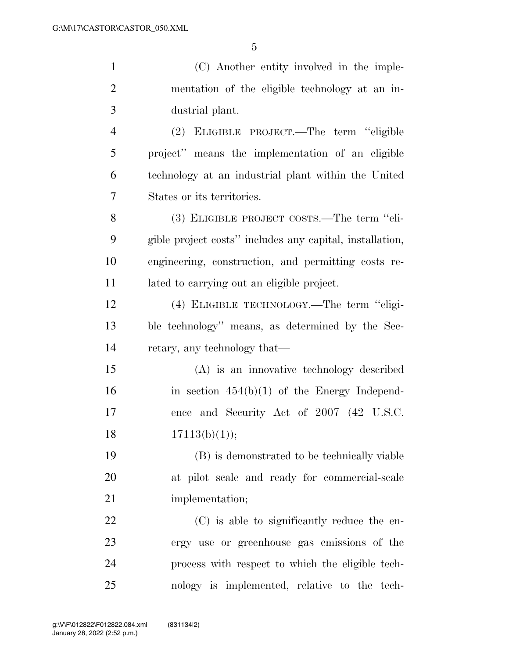(C) Another entity involved in the imple- mentation of the eligible technology at an in- dustrial plant. (2) ELIGIBLE PROJECT.—The term ''eligible project'' means the implementation of an eligible technology at an industrial plant within the United States or its territories.

 (3) ELIGIBLE PROJECT COSTS.—The term ''eli- gible project costs'' includes any capital, installation, engineering, construction, and permitting costs re-lated to carrying out an eligible project.

 (4) ELIGIBLE TECHNOLOGY.—The term ''eligi- ble technology'' means, as determined by the Sec-retary, any technology that—

 (A) is an innovative technology described 16 in section  $454(b)(1)$  of the Energy Independ- ence and Security Act of 2007 (42 U.S.C.  $17113(b)(1)$ ;

 (B) is demonstrated to be technically viable at pilot scale and ready for commercial-scale 21 implementation;

 (C) is able to significantly reduce the en- ergy use or greenhouse gas emissions of the process with respect to which the eligible tech-nology is implemented, relative to the tech-